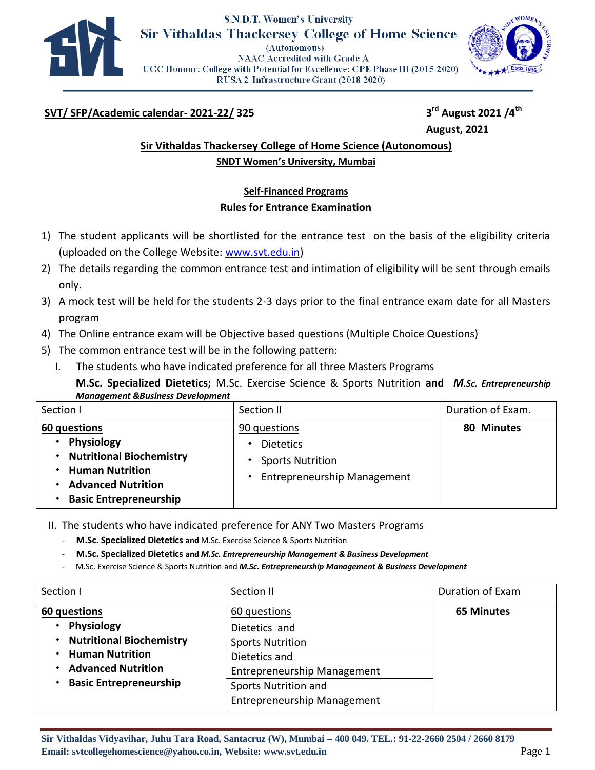

## **S.N.D.T. Women's University Sir Vithaldas Thackersey College of Home Science**

(Autonomous) **NAAC Accredited with Grade A** UGC Honour: College with Potential for Excellence: CPE Phase III (2015-2020) RUSA 2-Infrastructure Grant (2018-2020)



## **SVT/ SFP/Academic calendar- 2021-22/ 325 3**

**rd August 2021 /4th August, 2021** 

## **Sir Vithaldas Thackersey College of Home Science (Autonomous) SNDT Women's University, Mumbai**

# **Self-Financed Programs Rules for Entrance Examination**

- 1) The student applicants will be shortlisted for the entrance test on the basis of the eligibility criteria (uploaded on the College Website: www.svt.edu.in)
- 2) The details regarding the common entrance test and intimation of eligibility will be sent through emails only.
- 3) A mock test will be held for the students 2-3 days prior to the final entrance exam date for all Masters program
- 4) The Online entrance exam will be Objective based questions (Multiple Choice Questions)
- 5) The common entrance test will be in the following pattern:
	- I. The students who have indicated preference for all three Masters Programs
		- **M.Sc. Specialized Dietetics;** M.Sc. Exercise Science & Sports Nutrition **and** *M.Sc. Entrepreneurship Management &Business Development*

|                                                                                                                                                                                                                                   | Section I    | Section II   | Duration of Exam. |
|-----------------------------------------------------------------------------------------------------------------------------------------------------------------------------------------------------------------------------------|--------------|--------------|-------------------|
| <b>Physiology</b><br><b>Dietetics</b><br><b>Nutritional Biochemistry</b><br><b>Sports Nutrition</b><br><b>Human Nutrition</b><br><b>Entrepreneurship Management</b><br><b>Advanced Nutrition</b><br><b>Basic Entrepreneurship</b> | 60 questions | 90 questions | 80 Minutes        |

II. The students who have indicated preference for ANY Two Masters Programs

- **M.Sc. Specialized Dietetics and** M.Sc. Exercise Science & Sports Nutrition
- **M.Sc. Specialized Dietetics and** *M.Sc. Entrepreneurship Management & Business Development*
- M.Sc. Exercise Science & Sports Nutrition and *M.Sc. Entrepreneurship Management & Business Development*

| Section I                       | Section II                         | Duration of Exam  |
|---------------------------------|------------------------------------|-------------------|
| 60 questions                    | 60 questions                       | <b>65 Minutes</b> |
| <b>Physiology</b>               | Dietetics and                      |                   |
| <b>Nutritional Biochemistry</b> | <b>Sports Nutrition</b>            |                   |
| <b>Human Nutrition</b>          | Dietetics and                      |                   |
| <b>Advanced Nutrition</b>       | <b>Entrepreneurship Management</b> |                   |
| <b>Basic Entrepreneurship</b>   | Sports Nutrition and               |                   |
|                                 | <b>Entrepreneurship Management</b> |                   |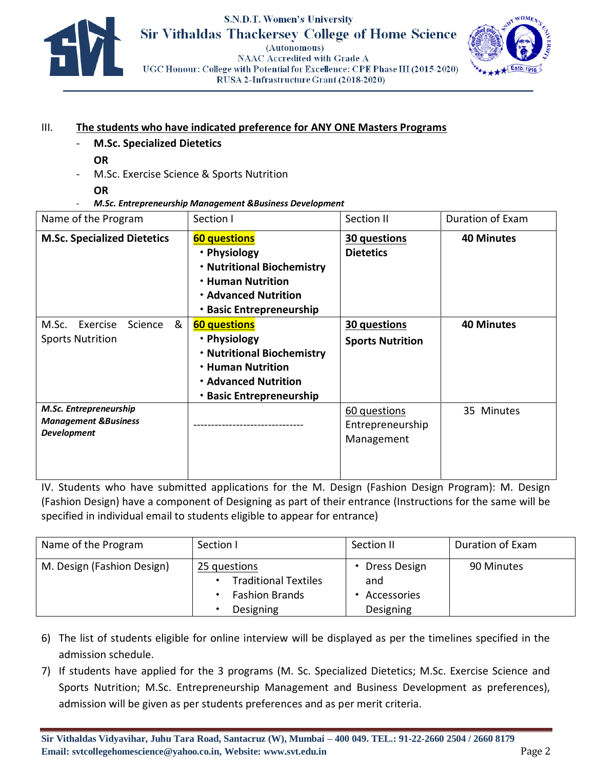

## **S.N.D.T. Women's University Sir Vithaldas Thackersey College of Home Science** (Autonomous) **NAAC Accredited with Grade A**



UGC Honour: College with Potential for Excellence: CPE Phase III (2015-2020) RUSA 2-Infrastructure Grant (2018-2020)

### III. **The students who have indicated preference for ANY ONE Masters Programs**

- **M.Sc. Specialized Dietetics** 
	- **OR**
- M.Sc. Exercise Science & Sports Nutrition
- **OR**
- *M.Sc. Entrepreneurship Management &Business Development*

| Name of the Program                                                             | Section I                                                                                                                                                | Section II                                     | <b>Duration of Exam</b> |
|---------------------------------------------------------------------------------|----------------------------------------------------------------------------------------------------------------------------------------------------------|------------------------------------------------|-------------------------|
| <b>M.Sc. Specialized Dietetics</b>                                              | <b>60 questions</b><br>• Physiology<br>* Nutritional Biochemistry<br><b>* Human Nutrition</b><br><b>* Advanced Nutrition</b><br>* Basic Entrepreneurship | 30 questions<br><b>Dietetics</b>               | <b>40 Minutes</b>       |
| &<br>Exercise<br>Science<br>M.Sc.<br><b>Sports Nutrition</b>                    | <b>60 questions</b><br>• Physiology<br>* Nutritional Biochemistry<br><b>* Human Nutrition</b><br><b>* Advanced Nutrition</b><br>* Basic Entrepreneurship | 30 questions<br><b>Sports Nutrition</b>        | <b>40 Minutes</b>       |
| M.Sc. Entrepreneurship<br><b>Management &amp;Business</b><br><b>Development</b> |                                                                                                                                                          | 60 questions<br>Entrepreneurship<br>Management | 35 Minutes              |

IV. Students who have submitted applications for the M. Design (Fashion Design Program): M. Design (Fashion Design) have a component of Designing as part of their entrance (Instructions for the same will be specified in individual email to students eligible to appear for entrance)

| Name of the Program        | Section I                                                                         | Section II                                        | Duration of Exam |
|----------------------------|-----------------------------------------------------------------------------------|---------------------------------------------------|------------------|
| M. Design (Fashion Design) | 25 questions<br><b>Traditional Textiles</b><br><b>Fashion Brands</b><br>Designing | • Dress Design<br>and<br>Accessories<br>Designing | 90 Minutes       |

- 6) The list of students eligible for online interview will be displayed as per the timelines specified in the admission schedule.
- 7) If students have applied for the 3 programs (M. Sc. Specialized Dietetics; M.Sc. Exercise Science and Sports Nutrition; M.Sc. Entrepreneurship Management and Business Development as preferences), admission will be given as per students preferences and as per merit criteria.